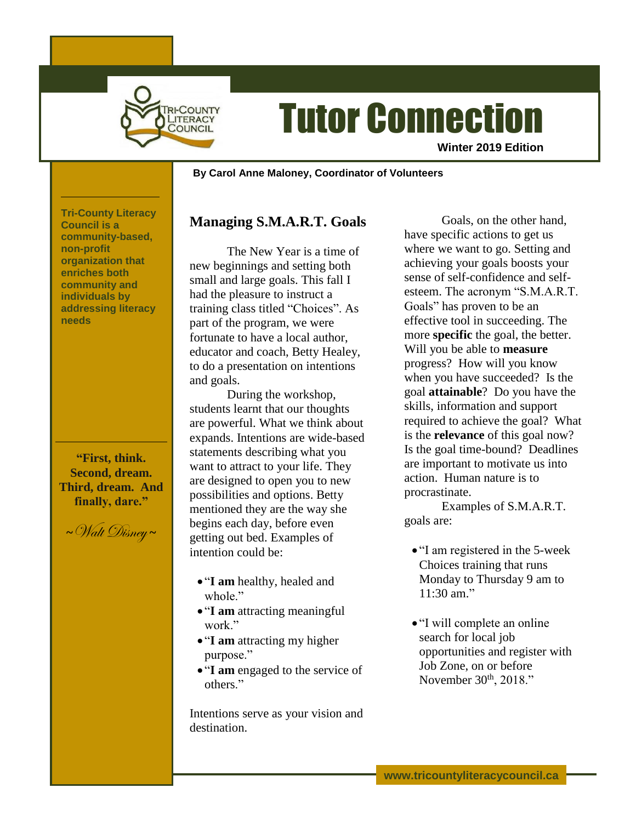

# Tutor Connection

**Winter 2019 Edition**

#### **~ By Carol Anne Maloney, Coordinator of Volunteers**

**Tri-County Literacy Council is a community-based, non-profit organization that enriches both community and individuals by addressing literacy needs**

**"First, think. Second, dream. Third, dream. And finally, dare."**

**<sup>~</sup>**Walt Disney **<sup>~</sup>**

## **Managing S.M.A.R.T. Goals**

The New Year is a time of new beginnings and setting both small and large goals. This fall I had the pleasure to instruct a training class titled "Choices". As part of the program, we were fortunate to have a local author, educator and coach, Betty Healey, to do a presentation on intentions and goals.

During the workshop, students learnt that our thoughts are powerful. What we think about expands. Intentions are wide-based statements describing what you want to attract to your life. They are designed to open you to new possibilities and options. Betty mentioned they are the way she begins each day, before even getting out bed. Examples of intention could be:

- "**I am** healthy, healed and whole."
- "**I am** attracting meaningful work."
- "**I am** attracting my higher purpose."
- "**I am** engaged to the service of others."

Intentions serve as your vision and destination.

Goals, on the other hand, have specific actions to get us where we want to go. Setting and achieving your goals boosts your sense of self-confidence and selfesteem. The acronym "S.M.A.R.T. Goals" has proven to be an effective tool in succeeding. The more **specific** the goal, the better. Will you be able to **measure** progress? How will you know when you have succeeded? Is the goal **attainable**? Do you have the skills, information and support required to achieve the goal? What is the **relevance** of this goal now? Is the goal time-bound? Deadlines are important to motivate us into action. Human nature is to procrastinate.

Examples of S.M.A.R.T. goals are:

- "I am registered in the 5-week Choices training that runs Monday to Thursday 9 am to 11:30 am."
- "I will complete an online search for local job opportunities and register with Job Zone, on or before November  $30<sup>th</sup>$ ,  $2018."$